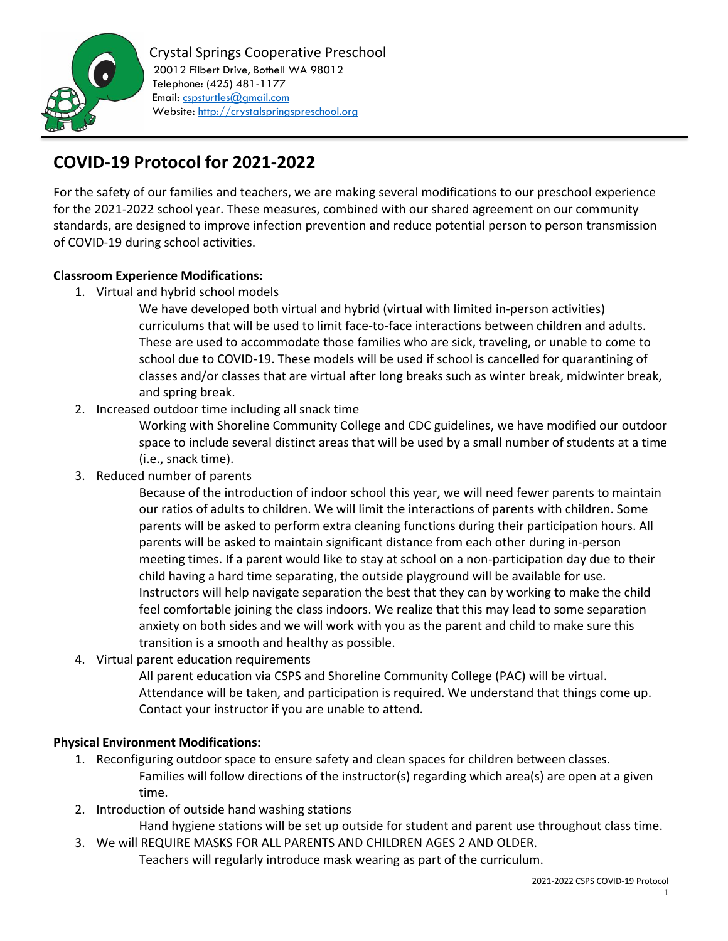

# **COVID-19 Protocol for 2021-2022**

For the safety of our families and teachers, we are making several modifications to our preschool experience for the 2021-2022 school year. These measures, combined with our shared agreement on our community standards, are designed to improve infection prevention and reduce potential person to person transmission of COVID-19 during school activities.

### **Classroom Experience Modifications:**

1. Virtual and hybrid school models

We have developed both virtual and hybrid (virtual with limited in-person activities) curriculums that will be used to limit face-to-face interactions between children and adults. These are used to accommodate those families who are sick, traveling, or unable to come to school due to COVID-19. These models will be used if school is cancelled for quarantining of classes and/or classes that are virtual after long breaks such as winter break, midwinter break, and spring break.

2. Increased outdoor time including all snack time

Working with Shoreline Community College and CDC guidelines, we have modified our outdoor space to include several distinct areas that will be used by a small number of students at a time (i.e., snack time).

3. Reduced number of parents

Because of the introduction of indoor school this year, we will need fewer parents to maintain our ratios of adults to children. We will limit the interactions of parents with children. Some parents will be asked to perform extra cleaning functions during their participation hours. All parents will be asked to maintain significant distance from each other during in-person meeting times. If a parent would like to stay at school on a non-participation day due to their child having a hard time separating, the outside playground will be available for use. Instructors will help navigate separation the best that they can by working to make the child feel comfortable joining the class indoors. We realize that this may lead to some separation anxiety on both sides and we will work with you as the parent and child to make sure this transition is a smooth and healthy as possible.

4. Virtual parent education requirements

All parent education via CSPS and Shoreline Community College (PAC) will be virtual. Attendance will be taken, and participation is required. We understand that things come up. Contact your instructor if you are unable to attend.

### **Physical Environment Modifications:**

- 1. Reconfiguring outdoor space to ensure safety and clean spaces for children between classes. Families will follow directions of the instructor(s) regarding which area(s) are open at a given time.
- 2. Introduction of outside hand washing stations

Hand hygiene stations will be set up outside for student and parent use throughout class time. 3. We will REQUIRE MASKS FOR ALL PARENTS AND CHILDREN AGES 2 AND OLDER.

Teachers will regularly introduce mask wearing as part of the curriculum.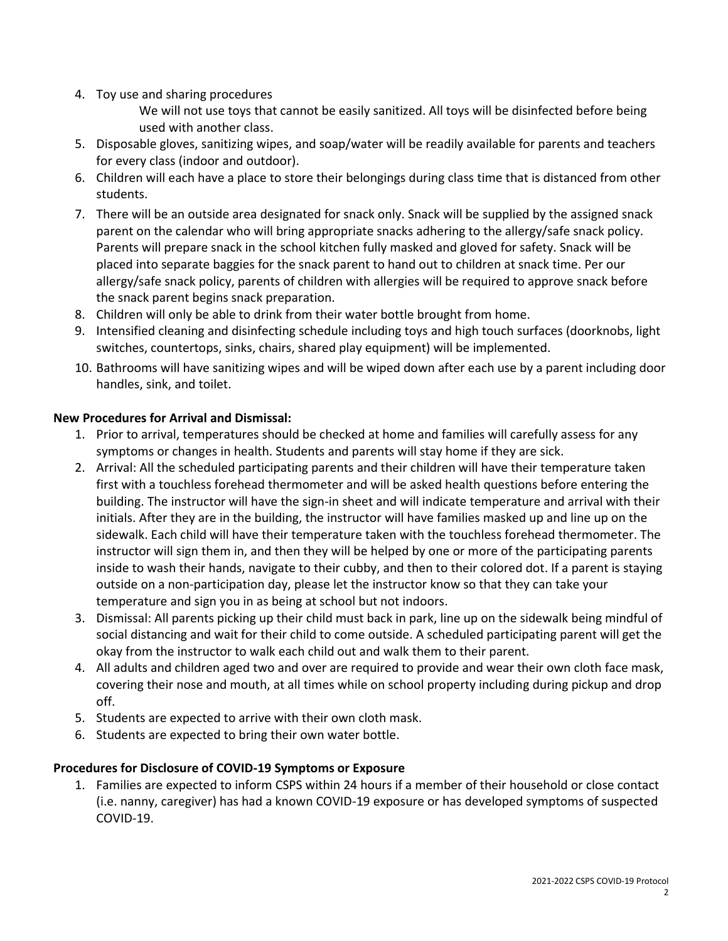4. Toy use and sharing procedures

We will not use toys that cannot be easily sanitized. All toys will be disinfected before being used with another class.

- 5. Disposable gloves, sanitizing wipes, and soap/water will be readily available for parents and teachers for every class (indoor and outdoor).
- 6. Children will each have a place to store their belongings during class time that is distanced from other students.
- 7. There will be an outside area designated for snack only. Snack will be supplied by the assigned snack parent on the calendar who will bring appropriate snacks adhering to the allergy/safe snack policy. Parents will prepare snack in the school kitchen fully masked and gloved for safety. Snack will be placed into separate baggies for the snack parent to hand out to children at snack time. Per our allergy/safe snack policy, parents of children with allergies will be required to approve snack before the snack parent begins snack preparation.
- 8. Children will only be able to drink from their water bottle brought from home.
- 9. Intensified cleaning and disinfecting schedule including toys and high touch surfaces (doorknobs, light switches, countertops, sinks, chairs, shared play equipment) will be implemented.
- 10. Bathrooms will have sanitizing wipes and will be wiped down after each use by a parent including door handles, sink, and toilet.

### **New Procedures for Arrival and Dismissal:**

- 1. Prior to arrival, temperatures should be checked at home and families will carefully assess for any symptoms or changes in health. Students and parents will stay home if they are sick.
- 2. Arrival: All the scheduled participating parents and their children will have their temperature taken first with a touchless forehead thermometer and will be asked health questions before entering the building. The instructor will have the sign-in sheet and will indicate temperature and arrival with their initials. After they are in the building, the instructor will have families masked up and line up on the sidewalk. Each child will have their temperature taken with the touchless forehead thermometer. The instructor will sign them in, and then they will be helped by one or more of the participating parents inside to wash their hands, navigate to their cubby, and then to their colored dot. If a parent is staying outside on a non-participation day, please let the instructor know so that they can take your temperature and sign you in as being at school but not indoors.
- 3. Dismissal: All parents picking up their child must back in park, line up on the sidewalk being mindful of social distancing and wait for their child to come outside. A scheduled participating parent will get the okay from the instructor to walk each child out and walk them to their parent.
- 4. All adults and children aged two and over are required to provide and wear their own cloth face mask, covering their nose and mouth, at all times while on school property including during pickup and drop off.
- 5. Students are expected to arrive with their own cloth mask.
- 6. Students are expected to bring their own water bottle.

## **Procedures for Disclosure of COVID-19 Symptoms or Exposure**

1. Families are expected to inform CSPS within 24 hours if a member of their household or close contact (i.e. nanny, caregiver) has had a known COVID-19 exposure or has developed symptoms of suspected COVID-19.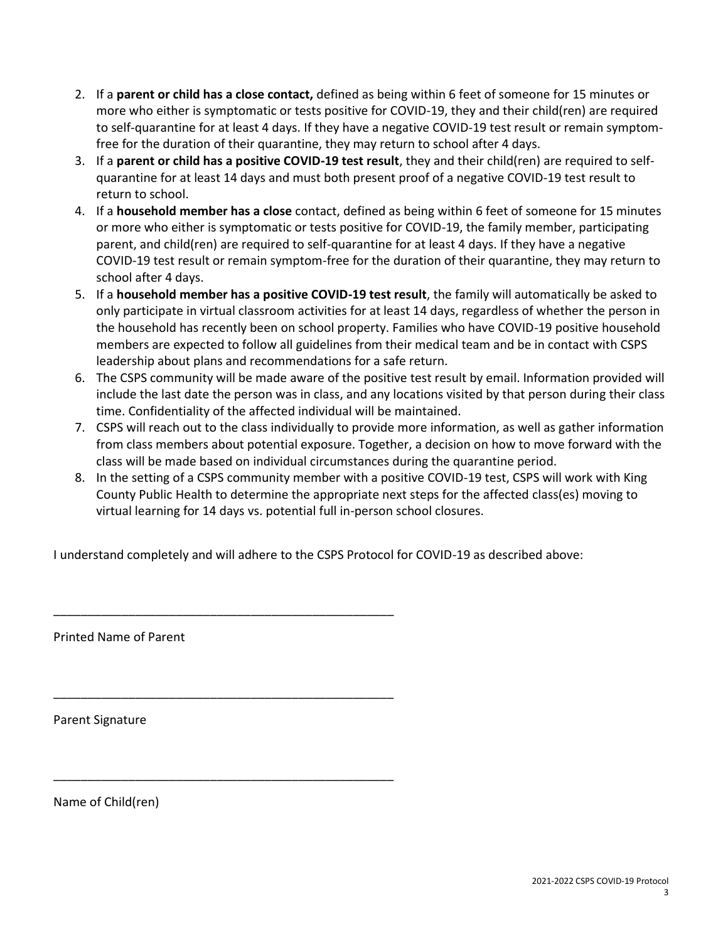- 2. If a **parent or child has a close contact,** defined as being within 6 feet of someone for 15 minutes or more who either is symptomatic or tests positive for COVID-19, they and their child(ren) are required to self-quarantine for at least 4 days. If they have a negative COVID-19 test result or remain symptomfree for the duration of their quarantine, they may return to school after 4 days.
- 3. If a **parent or child has a positive COVID-19 test result**, they and their child(ren) are required to selfquarantine for at least 14 days and must both present proof of a negative COVID-19 test result to return to school.
- 4. If a **household member has a close** contact, defined as being within 6 feet of someone for 15 minutes or more who either is symptomatic or tests positive for COVID-19, the family member, participating parent, and child(ren) are required to self-quarantine for at least 4 days. If they have a negative COVID-19 test result or remain symptom-free for the duration of their quarantine, they may return to school after 4 days.
- 5. If a **household member has a positive COVID-19 test result**, the family will automatically be asked to only participate in virtual classroom activities for at least 14 days, regardless of whether the person in the household has recently been on school property. Families who have COVID-19 positive household members are expected to follow all guidelines from their medical team and be in contact with CSPS leadership about plans and recommendations for a safe return.
- 6. The CSPS community will be made aware of the positive test result by email. Information provided will include the last date the person was in class, and any locations visited by that person during their class time. Confidentiality of the affected individual will be maintained.
- 7. CSPS will reach out to the class individually to provide more information, as well as gather information from class members about potential exposure. Together, a decision on how to move forward with the class will be made based on individual circumstances during the quarantine period.
- 8. In the setting of a CSPS community member with a positive COVID-19 test, CSPS will work with King County Public Health to determine the appropriate next steps for the affected class(es) moving to virtual learning for 14 days vs. potential full in-person school closures.

I understand completely and will adhere to the CSPS Protocol for COVID-19 as described above:

\_\_\_\_\_\_\_\_\_\_\_\_\_\_\_\_\_\_\_\_\_\_\_\_\_\_\_\_\_\_\_\_\_\_\_\_\_\_\_\_\_\_\_\_\_\_\_\_\_\_

\_\_\_\_\_\_\_\_\_\_\_\_\_\_\_\_\_\_\_\_\_\_\_\_\_\_\_\_\_\_\_\_\_\_\_\_\_\_\_\_\_\_\_\_\_\_\_\_\_\_

\_\_\_\_\_\_\_\_\_\_\_\_\_\_\_\_\_\_\_\_\_\_\_\_\_\_\_\_\_\_\_\_\_\_\_\_\_\_\_\_\_\_\_\_\_\_\_\_\_\_

Printed Name of Parent

Parent Signature

Name of Child(ren)